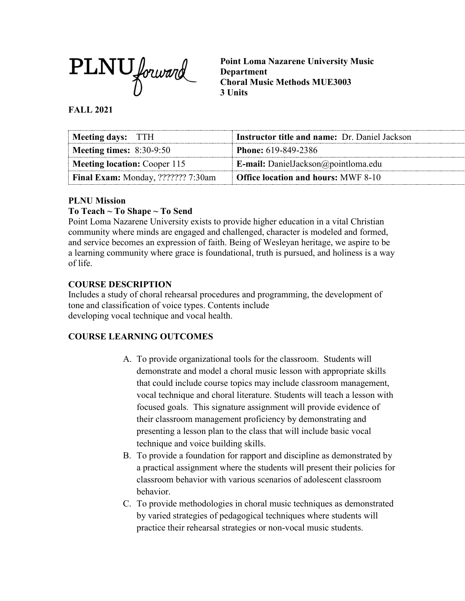

**Point Loma Nazarene University Music Department Choral Music Methods MUE3003 3 Units**

### **FALL 2021**

| Meeting days: TTH                         | <b>Instructor title and name: Dr. Daniel Jackson</b> |
|-------------------------------------------|------------------------------------------------------|
| Meeting times: $8:30-9:50$                | <b>Phone:</b> 619-849-2386                           |
| Meeting location: Cooper 115              | <b>E-mail:</b> DanielJackson@pointloma.edu           |
| <b>Final Exam:</b> Monday, ??????? 7:30am | <b>Office location and hours: MWF 8-10</b>           |

## **PLNU Mission**

## **To Teach ~ To Shape ~ To Send**

Point Loma Nazarene University exists to provide higher education in a vital Christian community where minds are engaged and challenged, character is modeled and formed, and service becomes an expression of faith. Being of Wesleyan heritage, we aspire to be a learning community where grace is foundational, truth is pursued, and holiness is a way of life.

## **COURSE DESCRIPTION**

Includes a study of choral rehearsal procedures and programming, the development of tone and classification of voice types. Contents include developing vocal technique and vocal health.

## **COURSE LEARNING OUTCOMES**

- A. To provide organizational tools for the classroom. Students will demonstrate and model a choral music lesson with appropriate skills that could include course topics may include classroom management, vocal technique and choral literature. Students will teach a lesson with focused goals. This signature assignment will provide evidence of their classroom management proficiency by demonstrating and presenting a lesson plan to the class that will include basic vocal technique and voice building skills.
- B. To provide a foundation for rapport and discipline as demonstrated by a practical assignment where the students will present their policies for classroom behavior with various scenarios of adolescent classroom behavior.
- C. To provide methodologies in choral music techniques as demonstrated by varied strategies of pedagogical techniques where students will practice their rehearsal strategies or non-vocal music students.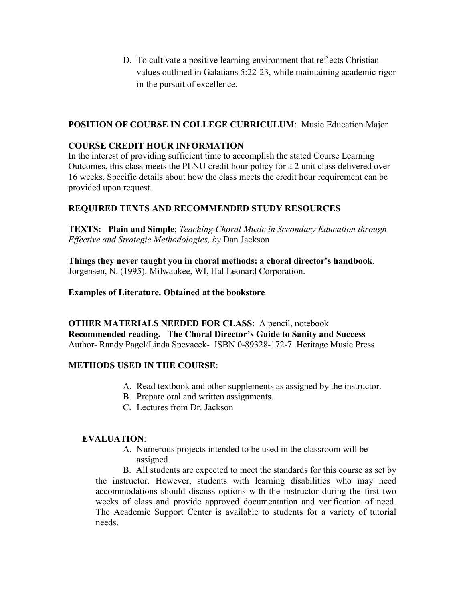D. To cultivate a positive learning environment that reflects Christian values outlined in Galatians 5:22-23, while maintaining academic rigor in the pursuit of excellence.

## **POSITION OF COURSE IN COLLEGE CURRICULUM**: Music Education Major

## **COURSE CREDIT HOUR INFORMATION**

In the interest of providing sufficient time to accomplish the stated Course Learning Outcomes, this class meets the PLNU credit hour policy for a 2 unit class delivered over 16 weeks. Specific details about how the class meets the credit hour requirement can be provided upon request.

# **REQUIRED TEXTS AND RECOMMENDED STUDY RESOURCES**

**TEXTS: Plain and Simple**; *Teaching Choral Music in Secondary Education through Effective and Strategic Methodologies, by* Dan Jackson

**Things they never taught you in choral methods: a choral director's handbook**. Jorgensen, N. (1995). Milwaukee, WI, Hal Leonard Corporation.

## **Examples of Literature. Obtained at the bookstore**

**OTHER MATERIALS NEEDED FOR CLASS**: A pencil, notebook **Recommended reading. The Choral Director's Guide to Sanity and Success** Author- Randy Pagel/Linda Spevacek- ISBN 0-89328-172-7 Heritage Music Press

## **METHODS USED IN THE COURSE**:

- A. Read textbook and other supplements as assigned by the instructor.
- B. Prepare oral and written assignments.
- C. Lectures from Dr. Jackson

### **EVALUATION**:

A. Numerous projects intended to be used in the classroom will be assigned.

B. All students are expected to meet the standards for this course as set by the instructor. However, students with learning disabilities who may need accommodations should discuss options with the instructor during the first two weeks of class and provide approved documentation and verification of need. The Academic Support Center is available to students for a variety of tutorial needs.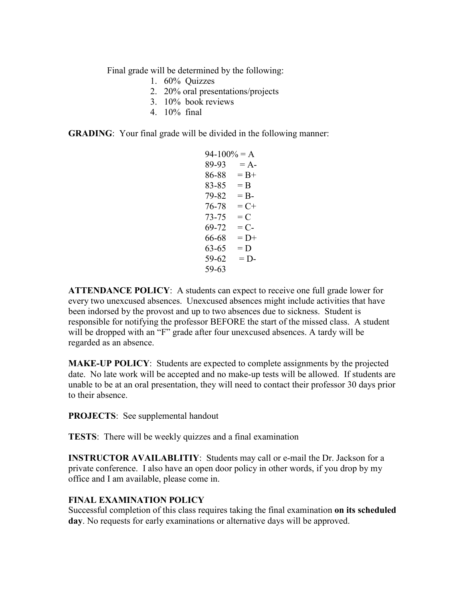Final grade will be determined by the following:

- 1. 60% Quizzes
- 2. 20% oral presentations/projects
- 3. 10% book reviews
- 4. 10% final

**GRADING**: Your final grade will be divided in the following manner:

 $94-100% = A$  $89-93 = A$  $86-88 = B+$  $83-85 = B$  $79-82 = B$  $76-78 = C+$  $73-75 = C$  $69-72 = C$  $66-68 = D+$  $63-65 = D$  $59-62 = D$ 59-63

**ATTENDANCE POLICY**: A students can expect to receive one full grade lower for every two unexcused absences. Unexcused absences might include activities that have been indorsed by the provost and up to two absences due to sickness. Student is responsible for notifying the professor BEFORE the start of the missed class. A student will be dropped with an "F" grade after four unexcused absences. A tardy will be regarded as an absence.

**MAKE-UP POLICY**: Students are expected to complete assignments by the projected date. No late work will be accepted and no make-up tests will be allowed. If students are unable to be at an oral presentation, they will need to contact their professor 30 days prior to their absence.

**PROJECTS**: See supplemental handout

**TESTS**: There will be weekly quizzes and a final examination

**INSTRUCTOR AVAILABLITIY**: Students may call or e-mail the Dr. Jackson for a private conference. I also have an open door policy in other words, if you drop by my office and I am available, please come in.

### **FINAL EXAMINATION POLICY**

Successful completion of this class requires taking the final examination **on its scheduled day**. No requests for early examinations or alternative days will be approved.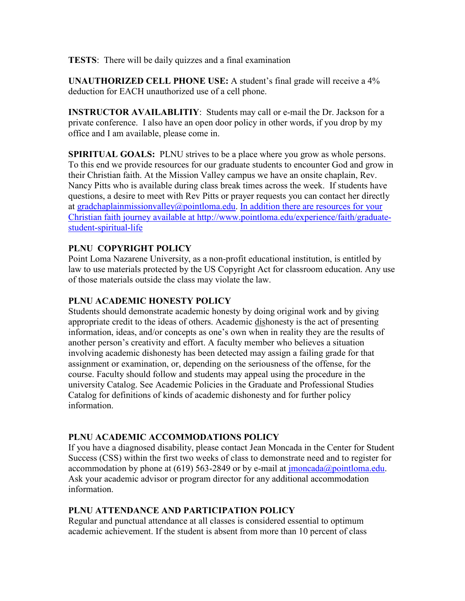**TESTS**: There will be daily quizzes and a final examination

**UNAUTHORIZED CELL PHONE USE:** A student's final grade will receive a 4% deduction for EACH unauthorized use of a cell phone.

**INSTRUCTOR AVAILABLITIY**: Students may call or e-mail the Dr. Jackson for a private conference. I also have an open door policy in other words, if you drop by my office and I am available, please come in.

**SPIRITUAL GOALS:** PLNU strives to be a place where you grow as whole persons. To this end we provide resources for our graduate students to encounter God and grow in their Christian faith. At the Mission Valley campus we have an onsite chaplain, Rev. Nancy Pitts who is available during class break times across the week. If students have questions, a desire to meet with Rev Pitts or prayer requests you can contact her directly at [gradchaplainmissionvalley@pointloma.edu.](mailto:gradchaplainmissionvalley@pointloma.edu) In addition there are resources for your Christian faith journey available at [http://www.pointloma.edu/experience/faith/graduate](mailto:gradchaplainmissionvalley@pointloma.edu.%20%20%0dIn%20addition%20there%20are%20resources%20for%20your%20Christian%20faith%20journey%20are%20available%20at%20http://www.pointloma.edu/SpiritualDevelopment/Graduate_Students.htm.%0b)[student-spiritual-life](mailto:gradchaplainmissionvalley@pointloma.edu.%20%20%0dIn%20addition%20there%20are%20resources%20for%20your%20Christian%20faith%20journey%20are%20available%20at%20http://www.pointloma.edu/SpiritualDevelopment/Graduate_Students.htm.%0b)

# **PLNU COPYRIGHT POLICY**

Point Loma Nazarene University, as a non-profit educational institution, is entitled by law to use materials protected by the US Copyright Act for classroom education. Any use of those materials outside the class may violate the law.

### **PLNU ACADEMIC HONESTY POLICY**

Students should demonstrate academic honesty by doing original work and by giving appropriate credit to the ideas of others. Academic dishonesty is the act of presenting information, ideas, and/or concepts as one's own when in reality they are the results of another person's creativity and effort. A faculty member who believes a situation involving academic dishonesty has been detected may assign a failing grade for that assignment or examination, or, depending on the seriousness of the offense, for the course. Faculty should follow and students may appeal using the procedure in the university Catalog. See Academic Policies in the Graduate and Professional Studies Catalog for definitions of kinds of academic dishonesty and for further policy information.

## **PLNU ACADEMIC ACCOMMODATIONS POLICY**

If you have a diagnosed disability, please contact Jean Moncada in the Center for Student Success (CSS) within the first two weeks of class to demonstrate need and to register for accommodation by phone at (619) 563-2849 or by e-mail at  $\overline{\text{imoncada}(a)}$  pointloma.edu. Ask your academic advisor or program director for any additional accommodation information.

## **PLNU ATTENDANCE AND PARTICIPATION POLICY**

Regular and punctual attendance at all classes is considered essential to optimum academic achievement. If the student is absent from more than 10 percent of class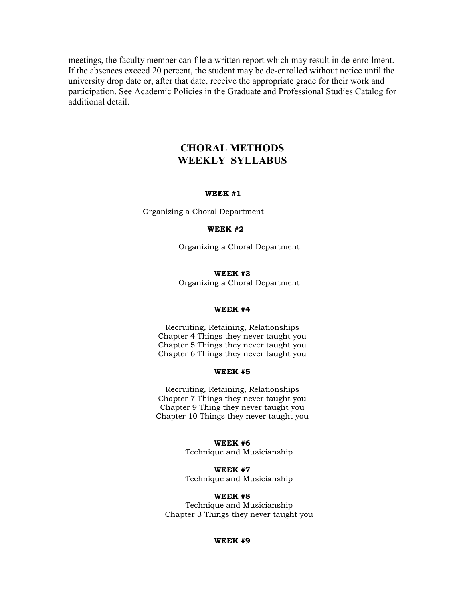meetings, the faculty member can file a written report which may result in de-enrollment. If the absences exceed 20 percent, the student may be de-enrolled without notice until the university drop date or, after that date, receive the appropriate grade for their work and participation. See Academic Policies in the Graduate and Professional Studies Catalog for additional detail.

# **CHORAL METHODS WEEKLY SYLLABUS**

#### **WEEK #1**

Organizing a Choral Department

#### **WEEK #2**

Organizing a Choral Department

#### **WEEK #3**

Organizing a Choral Department

### **WEEK #4**

Recruiting, Retaining, Relationships Chapter 4 Things they never taught you Chapter 5 Things they never taught you Chapter 6 Things they never taught you

#### **WEEK #5**

Recruiting, Retaining, Relationships Chapter 7 Things they never taught you Chapter 9 Thing they never taught you Chapter 10 Things they never taught you

### **WEEK #6**

Technique and Musicianship

**WEEK #7** Technique and Musicianship

#### **WEEK #8**

Technique and Musicianship Chapter 3 Things they never taught you

#### **WEEK #9**